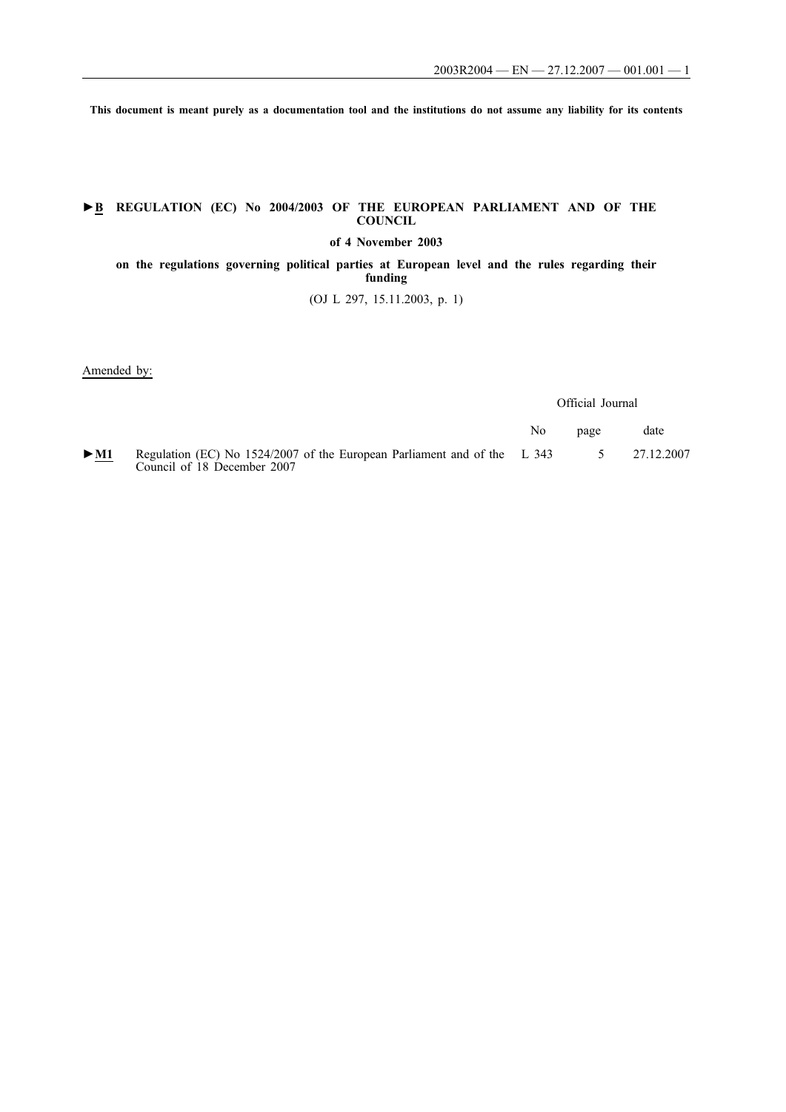**This document is meant purely as a documentation tool and the institutions do not assume any liability for its contents**

## **►B REGULATION (EC) No 2004/2003 OF THE EUROPEAN PARLIAMENT AND OF THE COUNCIL**

**of 4 November 2003**

**on the regulations governing political parties at European level and the rules regarding their funding**

(OJ L 297, 15.11.2003, p. 1)

Amended by:

Official Journal

|                            |                                                                                                         | No. | page     | date       |
|----------------------------|---------------------------------------------------------------------------------------------------------|-----|----------|------------|
| $\triangleright$ <u>M1</u> | Regulation (EC) No 1524/2007 of the European Parliament and of the L 343<br>Council of 18 December 2007 |     | $\sim$ 5 | 27.12.2007 |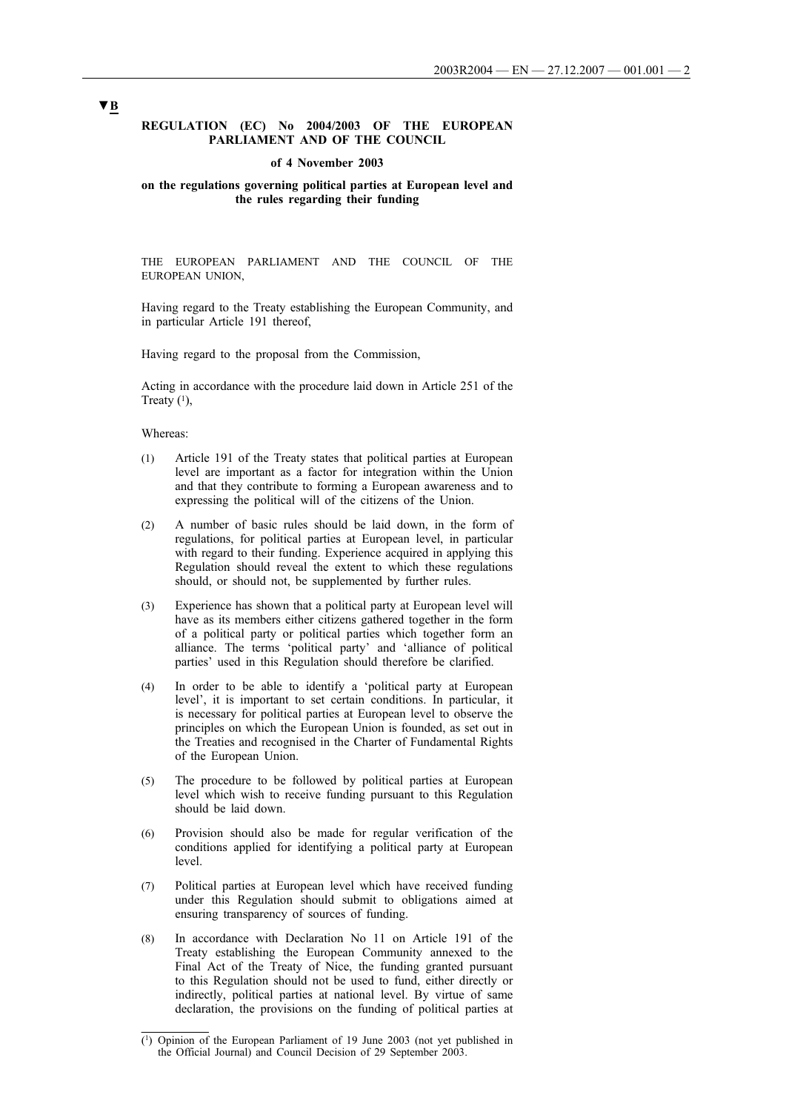#### **REGULATION (EC) No 2004/2003 OF THE EUROPEAN PARLIAMENT AND OF THE COUNCIL**

#### **of 4 November 2003**

### **on the regulations governing political parties at European level and the rules regarding their funding**

THE EUROPEAN PARLIAMENT AND THE COUNCIL OF THE EUROPEAN UNION,

Having regard to the Treaty establishing the European Community, and in particular Article 191 thereof,

Having regard to the proposal from the Commission,

Acting in accordance with the procedure laid down in Article 251 of the Treaty  $(1)$ ,

Whereas:

- (1) Article 191 of the Treaty states that political parties at European level are important as a factor for integration within the Union and that they contribute to forming a European awareness and to expressing the political will of the citizens of the Union.
- (2) A number of basic rules should be laid down, in the form of regulations, for political parties at European level, in particular with regard to their funding. Experience acquired in applying this Regulation should reveal the extent to which these regulations should, or should not, be supplemented by further rules.
- (3) Experience has shown that a political party at European level will have as its members either citizens gathered together in the form of a political party or political parties which together form an alliance. The terms 'political party' and 'alliance of political parties' used in this Regulation should therefore be clarified.
- (4) In order to be able to identify a 'political party at European level', it is important to set certain conditions. In particular, it is necessary for political parties at European level to observe the principles on which the European Union is founded, as set out in the Treaties and recognised in the Charter of Fundamental Rights of the European Union.
- (5) The procedure to be followed by political parties at European level which wish to receive funding pursuant to this Regulation should be laid down.
- (6) Provision should also be made for regular verification of the conditions applied for identifying a political party at European level.
- (7) Political parties at European level which have received funding under this Regulation should submit to obligations aimed at ensuring transparency of sources of funding.
- (8) In accordance with Declaration No 11 on Article 191 of the Treaty establishing the European Community annexed to the Final Act of the Treaty of Nice, the funding granted pursuant to this Regulation should not be used to fund, either directly or indirectly, political parties at national level. By virtue of same declaration, the provisions on the funding of political parties at

 $\overline{(^1)}$  Opinion of the European Parliament of 19 June 2003 (not yet published in the Official Journal) and Council Decision of 29 September 2003.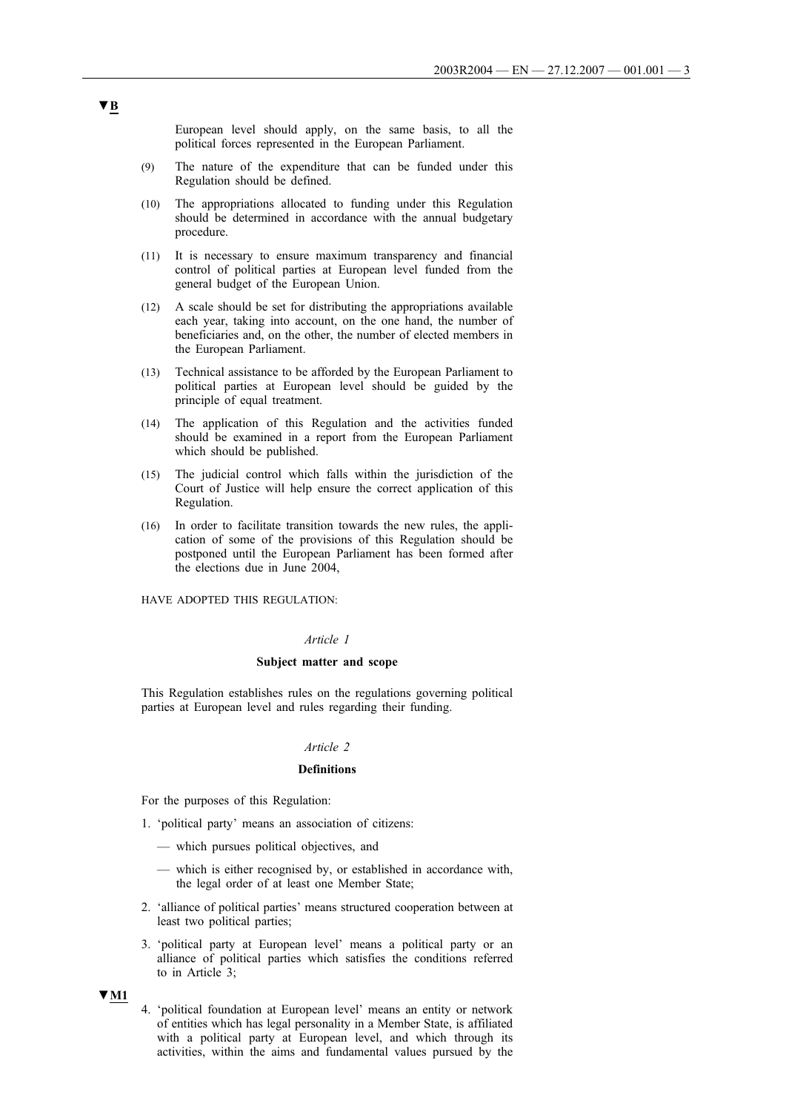European level should apply, on the same basis, to all the political forces represented in the European Parliament.

- (9) The nature of the expenditure that can be funded under this Regulation should be defined.
- (10) The appropriations allocated to funding under this Regulation should be determined in accordance with the annual budgetary procedure.
- (11) It is necessary to ensure maximum transparency and financial control of political parties at European level funded from the general budget of the European Union.
- (12) A scale should be set for distributing the appropriations available each year, taking into account, on the one hand, the number of beneficiaries and, on the other, the number of elected members in the European Parliament.
- (13) Technical assistance to be afforded by the European Parliament to political parties at European level should be guided by the principle of equal treatment.
- (14) The application of this Regulation and the activities funded should be examined in a report from the European Parliament which should be published.
- (15) The judicial control which falls within the jurisdiction of the Court of Justice will help ensure the correct application of this Regulation.
- (16) In order to facilitate transition towards the new rules, the application of some of the provisions of this Regulation should be postponed until the European Parliament has been formed after the elections due in June 2004,

HAVE ADOPTED THIS REGULATION:

#### *Article 1*

#### **Subject matter and scope**

This Regulation establishes rules on the regulations governing political parties at European level and rules regarding their funding.

#### *Article 2*

#### **Definitions**

For the purposes of this Regulation:

- 1. 'political party' means an association of citizens:
	- which pursues political objectives, and
	- which is either recognised by, or established in accordance with, the legal order of at least one Member State;
- 2. 'alliance of political parties' means structured cooperation between at least two political parties;
- 3. 'political party at European level' means a political party or an alliance of political parties which satisfies the conditions referred to in Article 3;

**▼M1**

4. 'political foundation at European level' means an entity or network of entities which has legal personality in a Member State, is affiliated with a political party at European level, and which through its activities, within the aims and fundamental values pursued by the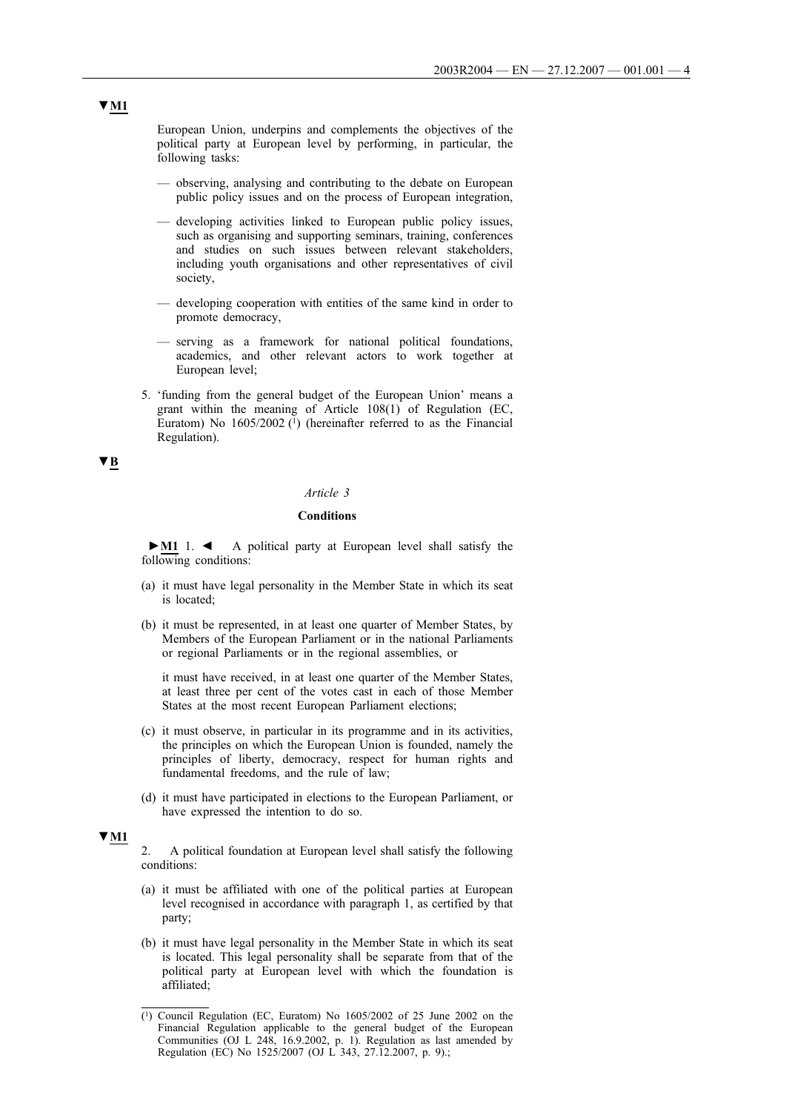European Union, underpins and complements the objectives of the political party at European level by performing, in particular, the following tasks:

- observing, analysing and contributing to the debate on European public policy issues and on the process of European integration,
- developing activities linked to European public policy issues, such as organising and supporting seminars, training, conferences and studies on such issues between relevant stakeholders, including youth organisations and other representatives of civil society,
- developing cooperation with entities of the same kind in order to promote democracy,
- serving as a framework for national political foundations, academics, and other relevant actors to work together at European level;
- 5. 'funding from the general budget of the European Union' means a grant within the meaning of Article 108(1) of Regulation (EC, Euratom) No 1605/2002 (1) (hereinafter referred to as the Financial Regulation).

## **▼B**

#### *Article 3*

## **Conditions**

**►M1** 1. ◄ A political party at European level shall satisfy the following conditions:

- (a) it must have legal personality in the Member State in which its seat is located;
- (b) it must be represented, in at least one quarter of Member States, by Members of the European Parliament or in the national Parliaments or regional Parliaments or in the regional assemblies, or

it must have received, in at least one quarter of the Member States, at least three per cent of the votes cast in each of those Member States at the most recent European Parliament elections;

- (c) it must observe, in particular in its programme and in its activities, the principles on which the European Union is founded, namely the principles of liberty, democracy, respect for human rights and fundamental freedoms, and the rule of law;
- (d) it must have participated in elections to the European Parliament, or have expressed the intention to do so.

#### **▼M1**

2. A political foundation at European level shall satisfy the following conditions:

- (a) it must be affiliated with one of the political parties at European level recognised in accordance with paragraph 1, as certified by that party;
- (b) it must have legal personality in the Member State in which its seat is located. This legal personality shall be separate from that of the political party at European level with which the foundation is affiliated;

<sup>(1)</sup> Council Regulation (EC, Euratom) No 1605/2002 of 25 June 2002 on the Financial Regulation applicable to the general budget of the European Communities (OJ L 248, 16.9.2002, p. 1). Regulation as last amended by Regulation (EC) No 1525/2007 (OJ L 343, 27.12.2007, p. 9).;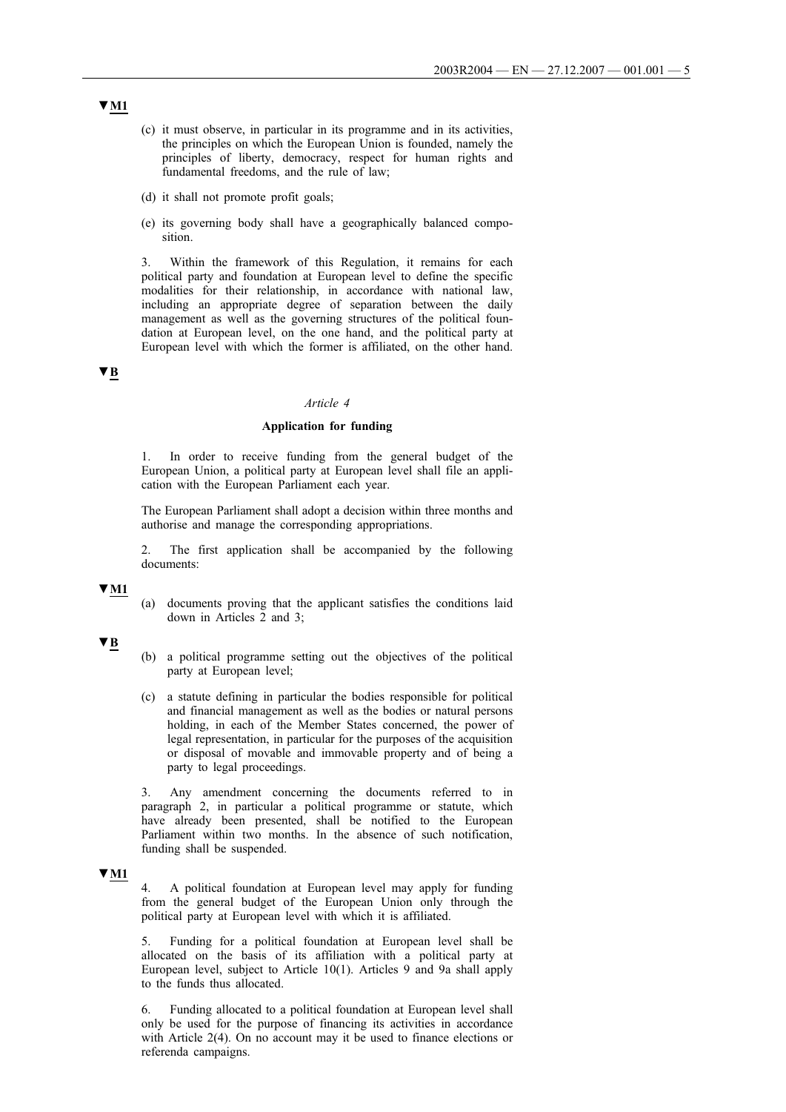- (c) it must observe, in particular in its programme and in its activities, the principles on which the European Union is founded, namely the principles of liberty, democracy, respect for human rights and fundamental freedoms, and the rule of law;
- (d) it shall not promote profit goals;
- (e) its governing body shall have a geographically balanced composition.

3. Within the framework of this Regulation, it remains for each political party and foundation at European level to define the specific modalities for their relationship, in accordance with national law, including an appropriate degree of separation between the daily management as well as the governing structures of the political foundation at European level, on the one hand, and the political party at European level with which the former is affiliated, on the other hand.

## **▼B**

#### *Article 4*

#### **Application for funding**

1. In order to receive funding from the general budget of the European Union, a political party at European level shall file an application with the European Parliament each year.

The European Parliament shall adopt a decision within three months and authorise and manage the corresponding appropriations.

2. The first application shall be accompanied by the following documents:

#### **▼M1**

(a) documents proving that the applicant satisfies the conditions laid down in Articles 2 and 3;

## **▼B**

- (b) a political programme setting out the objectives of the political party at European level;
- (c) a statute defining in particular the bodies responsible for political and financial management as well as the bodies or natural persons holding, in each of the Member States concerned, the power of legal representation, in particular for the purposes of the acquisition or disposal of movable and immovable property and of being a party to legal proceedings.

Any amendment concerning the documents referred to in paragraph 2, in particular a political programme or statute, which have already been presented, shall be notified to the European Parliament within two months. In the absence of such notification, funding shall be suspended.

### **▼M1**

4. A political foundation at European level may apply for funding from the general budget of the European Union only through the political party at European level with which it is affiliated.

5. Funding for a political foundation at European level shall be allocated on the basis of its affiliation with a political party at European level, subject to Article 10(1). Articles 9 and 9a shall apply to the funds thus allocated.

6. Funding allocated to a political foundation at European level shall only be used for the purpose of financing its activities in accordance with Article 2(4). On no account may it be used to finance elections or referenda campaigns.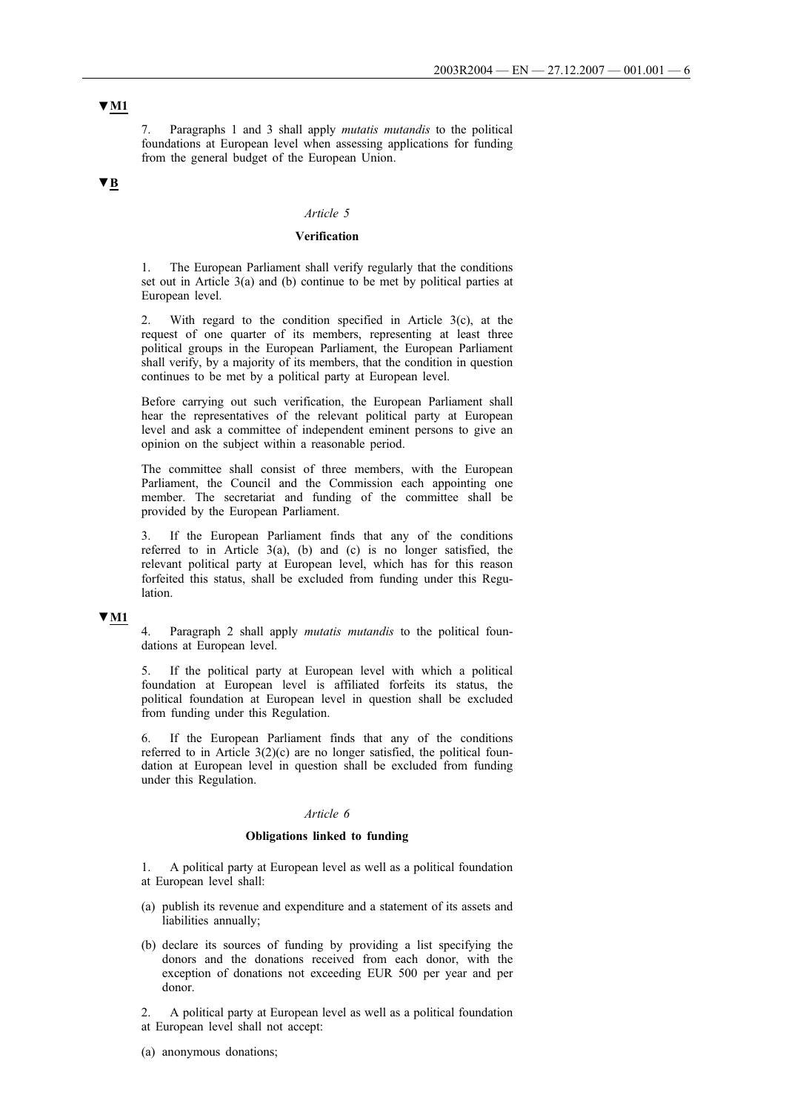## **▼M1**

7. Paragraphs 1 and 3 shall apply *mutatis mutandis* to the political foundations at European level when assessing applications for funding from the general budget of the European Union.

#### *Article 5*

#### **Verification**

1. The European Parliament shall verify regularly that the conditions set out in Article 3(a) and (b) continue to be met by political parties at European level.

2. With regard to the condition specified in Article 3(c), at the request of one quarter of its members, representing at least three political groups in the European Parliament, the European Parliament shall verify, by a majority of its members, that the condition in question continues to be met by a political party at European level.

Before carrying out such verification, the European Parliament shall hear the representatives of the relevant political party at European level and ask a committee of independent eminent persons to give an opinion on the subject within a reasonable period.

The committee shall consist of three members, with the European Parliament, the Council and the Commission each appointing one member. The secretariat and funding of the committee shall be provided by the European Parliament.

3. If the European Parliament finds that any of the conditions referred to in Article 3(a), (b) and (c) is no longer satisfied, the relevant political party at European level, which has for this reason forfeited this status, shall be excluded from funding under this Regulation.

#### **▼M1**

4. Paragraph 2 shall apply *mutatis mutandis* to the political foundations at European level.

If the political party at European level with which a political foundation at European level is affiliated forfeits its status, the political foundation at European level in question shall be excluded from funding under this Regulation.

6. If the European Parliament finds that any of the conditions referred to in Article  $3(2)(c)$  are no longer satisfied, the political foundation at European level in question shall be excluded from funding under this Regulation.

#### *Article 6*

#### **Obligations linked to funding**

1. A political party at European level as well as a political foundation at European level shall:

- (a) publish its revenue and expenditure and a statement of its assets and liabilities annually;
- (b) declare its sources of funding by providing a list specifying the donors and the donations received from each donor, with the exception of donations not exceeding EUR 500 per year and per donor.

2. A political party at European level as well as a political foundation at European level shall not accept: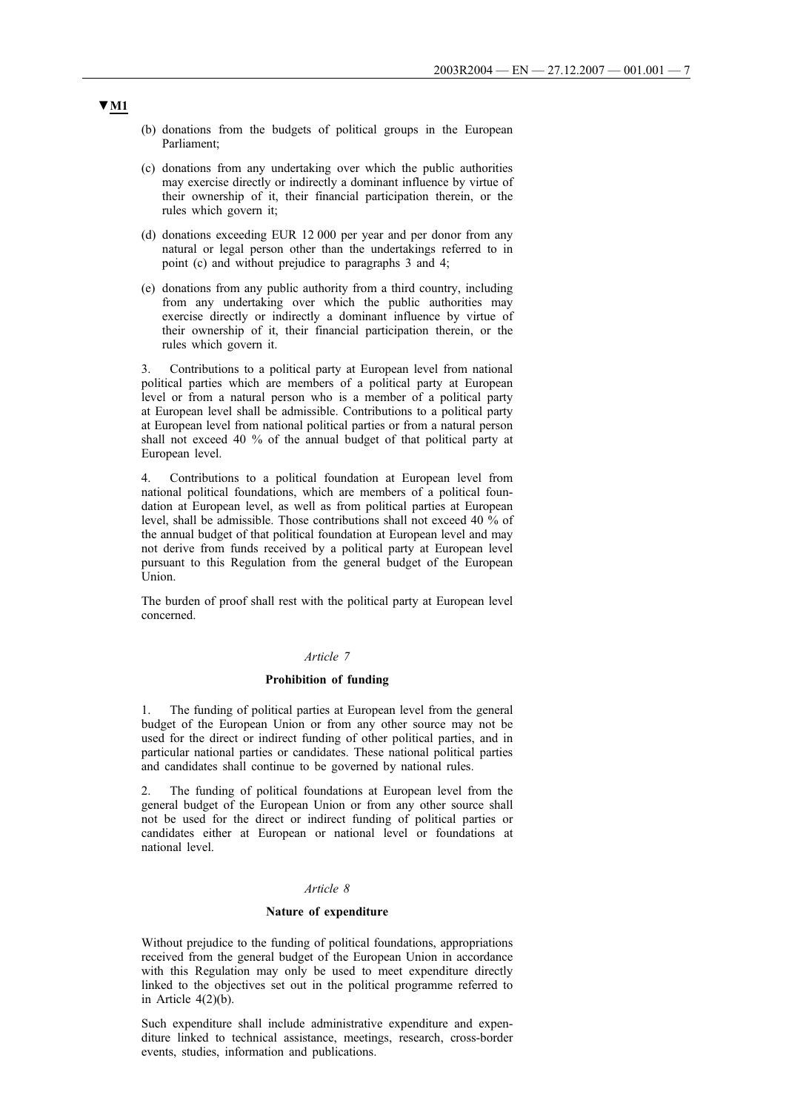- (b) donations from the budgets of political groups in the European Parliament;
- (c) donations from any undertaking over which the public authorities may exercise directly or indirectly a dominant influence by virtue of their ownership of it, their financial participation therein, or the rules which govern it;
- (d) donations exceeding EUR 12 000 per year and per donor from any natural or legal person other than the undertakings referred to in point (c) and without prejudice to paragraphs 3 and 4;
- (e) donations from any public authority from a third country, including from any undertaking over which the public authorities may exercise directly or indirectly a dominant influence by virtue of their ownership of it, their financial participation therein, or the rules which govern it.

3. Contributions to a political party at European level from national political parties which are members of a political party at European level or from a natural person who is a member of a political party at European level shall be admissible. Contributions to a political party at European level from national political parties or from a natural person shall not exceed 40 % of the annual budget of that political party at European level.

4. Contributions to a political foundation at European level from national political foundations, which are members of a political foundation at European level, as well as from political parties at European level, shall be admissible. Those contributions shall not exceed 40 % of the annual budget of that political foundation at European level and may not derive from funds received by a political party at European level pursuant to this Regulation from the general budget of the European Union.

The burden of proof shall rest with the political party at European level concerned.

## *Article 7*

#### **Prohibition of funding**

The funding of political parties at European level from the general budget of the European Union or from any other source may not be used for the direct or indirect funding of other political parties, and in particular national parties or candidates. These national political parties and candidates shall continue to be governed by national rules.

2. The funding of political foundations at European level from the general budget of the European Union or from any other source shall not be used for the direct or indirect funding of political parties or candidates either at European or national level or foundations at national level.

#### *Article 8*

#### **Nature of expenditure**

Without prejudice to the funding of political foundations, appropriations received from the general budget of the European Union in accordance with this Regulation may only be used to meet expenditure directly linked to the objectives set out in the political programme referred to in Article  $4(2)(b)$ .

Such expenditure shall include administrative expenditure and expenditure linked to technical assistance, meetings, research, cross-border events, studies, information and publications.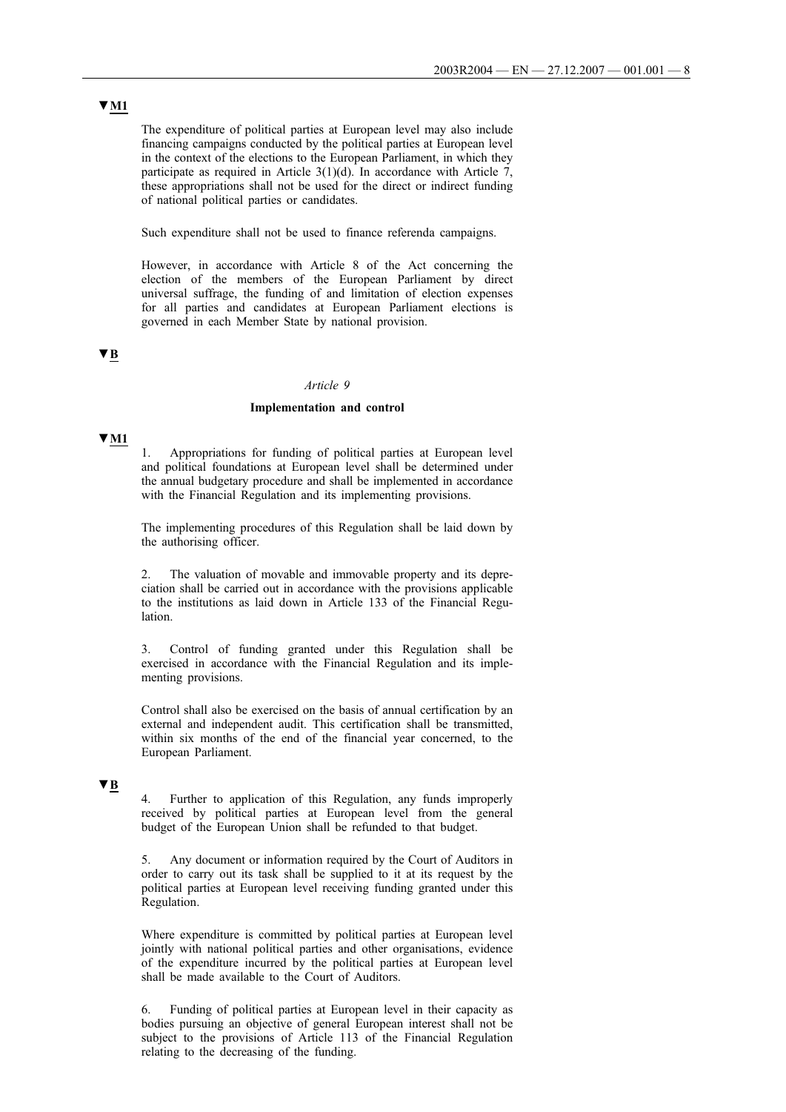The expenditure of political parties at European level may also include financing campaigns conducted by the political parties at European level in the context of the elections to the European Parliament, in which they participate as required in Article  $3(1)(d)$ . In accordance with Article 7, these appropriations shall not be used for the direct or indirect funding of national political parties or candidates.

Such expenditure shall not be used to finance referenda campaigns.

However, in accordance with Article 8 of the Act concerning the election of the members of the European Parliament by direct universal suffrage, the funding of and limitation of election expenses for all parties and candidates at European Parliament elections is governed in each Member State by national provision.

## **▼B**

#### *Article 9*

#### **Implementation and control**

## **▼M1**

1. Appropriations for funding of political parties at European level and political foundations at European level shall be determined under the annual budgetary procedure and shall be implemented in accordance with the Financial Regulation and its implementing provisions.

The implementing procedures of this Regulation shall be laid down by the authorising officer.

2. The valuation of movable and immovable property and its depreciation shall be carried out in accordance with the provisions applicable to the institutions as laid down in Article 133 of the Financial Regulation.

3. Control of funding granted under this Regulation shall be exercised in accordance with the Financial Regulation and its implementing provisions.

Control shall also be exercised on the basis of annual certification by an external and independent audit. This certification shall be transmitted, within six months of the end of the financial year concerned, to the European Parliament.

### **▼B**

4. Further to application of this Regulation, any funds improperly received by political parties at European level from the general budget of the European Union shall be refunded to that budget.

5. Any document or information required by the Court of Auditors in order to carry out its task shall be supplied to it at its request by the political parties at European level receiving funding granted under this Regulation.

Where expenditure is committed by political parties at European level jointly with national political parties and other organisations, evidence of the expenditure incurred by the political parties at European level shall be made available to the Court of Auditors.

6. Funding of political parties at European level in their capacity as bodies pursuing an objective of general European interest shall not be subject to the provisions of Article 113 of the Financial Regulation relating to the decreasing of the funding.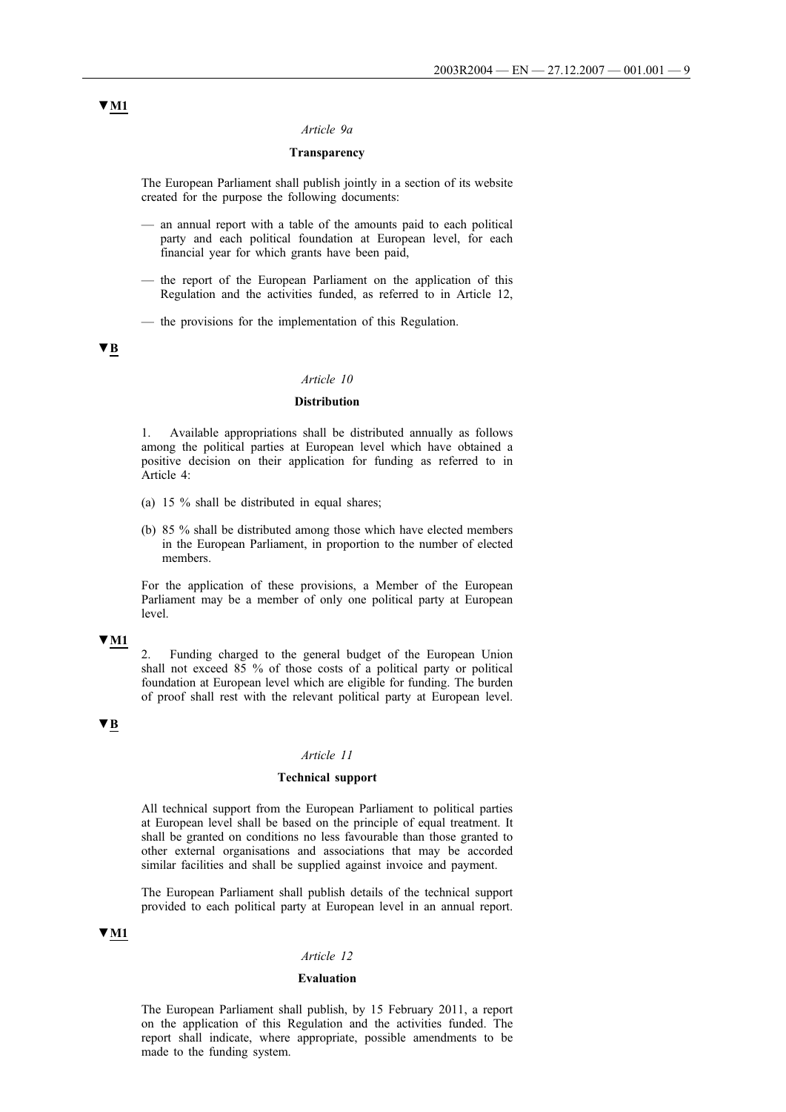#### *Article 9a*

#### **Transparency**

The European Parliament shall publish jointly in a section of its website created for the purpose the following documents:

- an annual report with a table of the amounts paid to each political party and each political foundation at European level, for each financial year for which grants have been paid,
- the report of the European Parliament on the application of this Regulation and the activities funded, as referred to in Article 12,
- the provisions for the implementation of this Regulation.

## **▼B**

#### *Article 10*

## **Distribution**

1. Available appropriations shall be distributed annually as follows among the political parties at European level which have obtained a positive decision on their application for funding as referred to in Article 4:

- (a) 15 % shall be distributed in equal shares;
- (b) 85 % shall be distributed among those which have elected members in the European Parliament, in proportion to the number of elected members.

For the application of these provisions, a Member of the European Parliament may be a member of only one political party at European level.

#### **▼M1**

2. Funding charged to the general budget of the European Union shall not exceed 85 % of those costs of a political party or political foundation at European level which are eligible for funding. The burden of proof shall rest with the relevant political party at European level.

## **▼B**

#### *Article 11*

#### **Technical support**

All technical support from the European Parliament to political parties at European level shall be based on the principle of equal treatment. It shall be granted on conditions no less favourable than those granted to other external organisations and associations that may be accorded similar facilities and shall be supplied against invoice and payment.

The European Parliament shall publish details of the technical support provided to each political party at European level in an annual report.

## **▼M1**

#### *Article 12*

#### **Evaluation**

The European Parliament shall publish, by 15 February 2011, a report on the application of this Regulation and the activities funded. The report shall indicate, where appropriate, possible amendments to be made to the funding system.